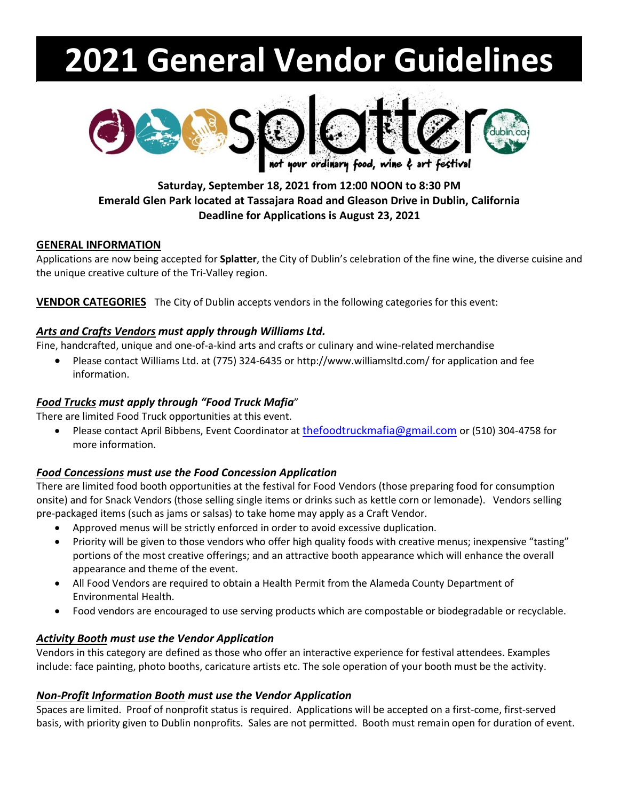# **2021 General Vendor Guidelines**



# **Saturday, September 18, 2021 from 12:00 NOON to 8:30 PM Emerald Glen Park located at Tassajara Road and Gleason Drive in Dublin, California Deadline for Applications is August 23, 2021**

## **GENERAL INFORMATION**

Applications are now being accepted for **Splatter**, the City of Dublin's celebration of the fine wine, the diverse cuisine and the unique creative culture of the Tri-Valley region.

**VENDOR CATEGORIES** The City of Dublin accepts vendors in the following categories for this event:

# *Arts and Crafts Vendors must apply through Williams Ltd.*

Fine, handcrafted, unique and one-of-a-kind arts and crafts or culinary and wine-related merchandise

• Please contact Williams Ltd. at (775) 324-6435 or http://www.williamsltd.com/ for application and fee information.

# *Food Trucks must apply through "Food Truck Mafia*"

There are limited Food Truck opportunities at this event.

• Please contact April Bibbens, Event Coordinator at [thefoodtruckmafia@gmail.com](mailto:thefoodtruckmafia@gmail.com) or (510) 304-4758 for more information.

# *Food Concessions must use the Food Concession Application*

There are limited food booth opportunities at the festival for Food Vendors (those preparing food for consumption onsite) and for Snack Vendors (those selling single items or drinks such as kettle corn or lemonade). Vendors selling pre-packaged items (such as jams or salsas) to take home may apply as a Craft Vendor.

- Approved menus will be strictly enforced in order to avoid excessive duplication.
- Priority will be given to those vendors who offer high quality foods with creative menus; inexpensive "tasting" portions of the most creative offerings; and an attractive booth appearance which will enhance the overall appearance and theme of the event.
- All Food Vendors are required to obtain a Health Permit from the Alameda County Department of Environmental Health.
- Food vendors are encouraged to use serving products which are compostable or biodegradable or recyclable.

# *Activity Booth must use the Vendor Application*

Vendors in this category are defined as those who offer an interactive experience for festival attendees. Examples include: face painting, photo booths, caricature artists etc. The sole operation of your booth must be the activity.

# *Non-Profit Information Booth must use the Vendor Application*

Spaces are limited. Proof of nonprofit status is required. Applications will be accepted on a first-come, first-served basis, with priority given to Dublin nonprofits. Sales are not permitted. Booth must remain open for duration of event.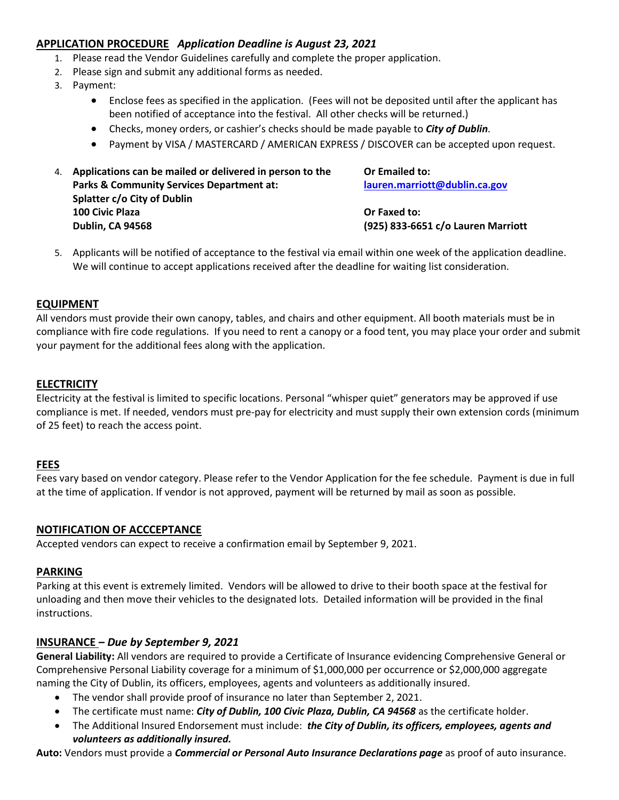# **APPLICATION PROCEDURE** *Application Deadline is August 23, 2021*

- 1. Please read the Vendor Guidelines carefully and complete the proper application.
- 2. Please sign and submit any additional forms as needed.
- 3. Payment:
	- Enclose fees as specified in the application. (Fees will not be deposited until after the applicant has been notified of acceptance into the festival. All other checks will be returned.)
	- Checks, money orders, or cashier's checks should be made payable to *City of Dublin.*
	- Payment by VISA / MASTERCARD / AMERICAN EXPRESS / DISCOVER can be accepted upon request.
- 4. **Applications can be mailed or delivered in person to the Or Emailed to: Parks & Community Services Department at: [lauren.marriott@dublin.ca.gov](mailto:lauren.marriott@dublin.ca.gov) Splatter c/o City of Dublin 100 Civic Plaza Or Faxed to: Dublin, CA 94568 (925) 833-6651 c/o Lauren Marriott**

5. Applicants will be notified of acceptance to the festival via email within one week of the application deadline. We will continue to accept applications received after the deadline for waiting list consideration.

#### **EQUIPMENT**

All vendors must provide their own canopy, tables, and chairs and other equipment. All booth materials must be in compliance with fire code regulations. If you need to rent a canopy or a food tent, you may place your order and submit your payment for the additional fees along with the application.

#### **ELECTRICITY**

Electricity at the festival is limited to specific locations. Personal "whisper quiet" generators may be approved if use compliance is met. If needed, vendors must pre-pay for electricity and must supply their own extension cords (minimum of 25 feet) to reach the access point.

#### **FEES**

Fees vary based on vendor category. Please refer to the Vendor Application for the fee schedule. Payment is due in full at the time of application. If vendor is not approved, payment will be returned by mail as soon as possible.

#### **NOTIFICATION OF ACCCEPTANCE**

Accepted vendors can expect to receive a confirmation email by September 9, 2021.

#### **PARKING**

Parking at this event is extremely limited. Vendors will be allowed to drive to their booth space at the festival for unloading and then move their vehicles to the designated lots. Detailed information will be provided in the final instructions.

#### **INSURANCE –** *Due by September 9, 2021*

**General Liability:** All vendors are required to provide a Certificate of Insurance evidencing Comprehensive General or Comprehensive Personal Liability coverage for a minimum of \$1,000,000 per occurrence or \$2,000,000 aggregate naming the City of Dublin, its officers, employees, agents and volunteers as additionally insured.

- The vendor shall provide proof of insurance no later than September 2, 2021.
- The certificate must name: *City of Dublin, 100 Civic Plaza, Dublin, CA 94568* as the certificate holder.
- The Additional Insured Endorsement must include: *the City of Dublin, its officers, employees, agents and volunteers as additionally insured.*

**Auto:** Vendors must provide a *Commercial or Personal Auto Insurance Declarations page* as proof of auto insurance.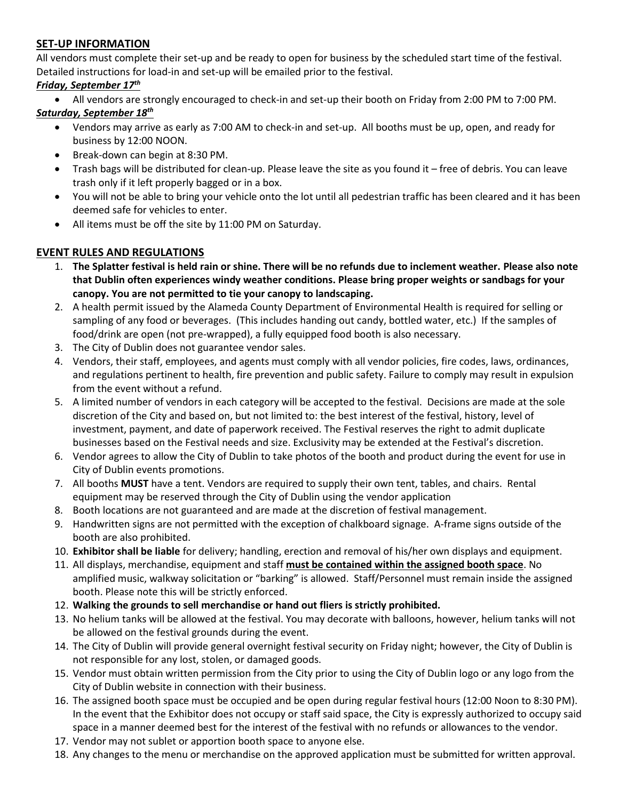## **SET-UP INFORMATION**

All vendors must complete their set-up and be ready to open for business by the scheduled start time of the festival. Detailed instructions for load-in and set-up will be emailed prior to the festival.

## *Friday, September 17 th*

• All vendors are strongly encouraged to check-in and set-up their booth on Friday from 2:00 PM to 7:00 PM.

# *Saturday, September 18 th*

- Vendors may arrive as early as 7:00 AM to check-in and set-up. All booths must be up, open, and ready for business by 12:00 NOON.
- Break-down can begin at 8:30 PM.
- Trash bags will be distributed for clean-up. Please leave the site as you found it free of debris. You can leave trash only if it left properly bagged or in a box.
- You will not be able to bring your vehicle onto the lot until all pedestrian traffic has been cleared and it has been deemed safe for vehicles to enter.
- All items must be off the site by 11:00 PM on Saturday.

# **EVENT RULES AND REGULATIONS**

- 1. **The Splatter festival is held rain or shine. There will be no refunds due to inclement weather. Please also note that Dublin often experiences windy weather conditions. Please bring proper weights or sandbags for your canopy. You are not permitted to tie your canopy to landscaping.**
- 2. A health permit issued by the Alameda County Department of Environmental Health is required for selling or sampling of any food or beverages. (This includes handing out candy, bottled water, etc.) If the samples of food/drink are open (not pre-wrapped), a fully equipped food booth is also necessary.
- 3. The City of Dublin does not guarantee vendor sales.
- 4. Vendors, their staff, employees, and agents must comply with all vendor policies, fire codes, laws, ordinances, and regulations pertinent to health, fire prevention and public safety. Failure to comply may result in expulsion from the event without a refund.
- 5. A limited number of vendors in each category will be accepted to the festival. Decisions are made at the sole discretion of the City and based on, but not limited to: the best interest of the festival, history, level of investment, payment, and date of paperwork received. The Festival reserves the right to admit duplicate businesses based on the Festival needs and size. Exclusivity may be extended at the Festival's discretion.
- 6. Vendor agrees to allow the City of Dublin to take photos of the booth and product during the event for use in City of Dublin events promotions.
- 7. All booths **MUST** have a tent. Vendors are required to supply their own tent, tables, and chairs. Rental equipment may be reserved through the City of Dublin using the vendor application
- 8. Booth locations are not guaranteed and are made at the discretion of festival management.
- 9. Handwritten signs are not permitted with the exception of chalkboard signage. A-frame signs outside of the booth are also prohibited.
- 10. **Exhibitor shall be liable** for delivery; handling, erection and removal of his/her own displays and equipment.
- 11. All displays, merchandise, equipment and staff **must be contained within the assigned booth space**. No amplified music, walkway solicitation or "barking" is allowed. Staff/Personnel must remain inside the assigned booth. Please note this will be strictly enforced.
- 12. **Walking the grounds to sell merchandise or hand out fliers is strictly prohibited.**
- 13. No helium tanks will be allowed at the festival. You may decorate with balloons, however, helium tanks will not be allowed on the festival grounds during the event.
- 14. The City of Dublin will provide general overnight festival security on Friday night; however, the City of Dublin is not responsible for any lost, stolen, or damaged goods.
- 15. Vendor must obtain written permission from the City prior to using the City of Dublin logo or any logo from the City of Dublin website in connection with their business.
- 16. The assigned booth space must be occupied and be open during regular festival hours (12:00 Noon to 8:30 PM). In the event that the Exhibitor does not occupy or staff said space, the City is expressly authorized to occupy said space in a manner deemed best for the interest of the festival with no refunds or allowances to the vendor.
- 17. Vendor may not sublet or apportion booth space to anyone else.
- 18. Any changes to the menu or merchandise on the approved application must be submitted for written approval.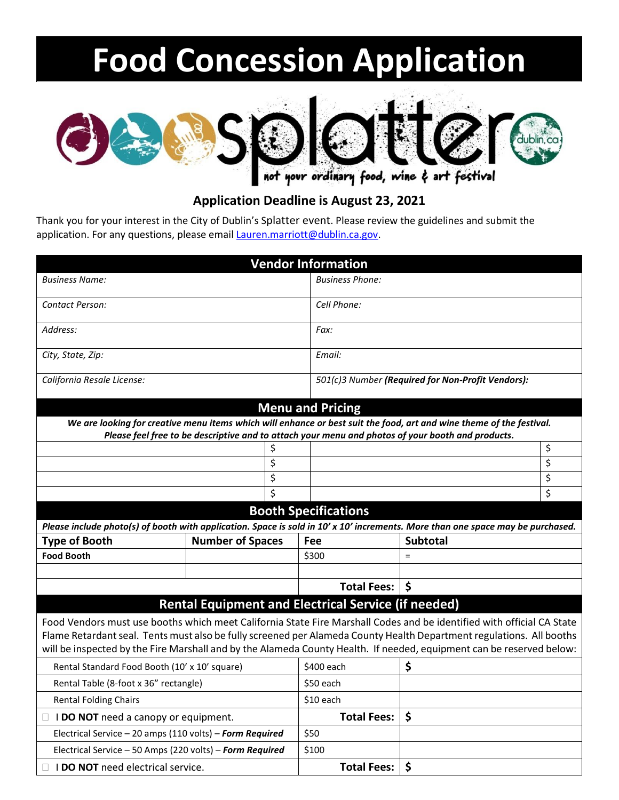# **Food Concession Application**



# **Application Deadline is August 23, 2021**

Thank you for your interest in the City of Dublin's Splatter event. Please review the guidelines and submit the application. For any questions, please emai[l Lauren.marriott@dublin.ca.gov.](mailto:Lauren.marriott@dublin.ca.gov)

|                                                                                                                                                                |                         | <b>Vendor Information</b>                         |                                                                                                   |          |
|----------------------------------------------------------------------------------------------------------------------------------------------------------------|-------------------------|---------------------------------------------------|---------------------------------------------------------------------------------------------------|----------|
| <b>Business Name:</b>                                                                                                                                          |                         | <b>Business Phone:</b>                            |                                                                                                   |          |
| Contact Person:                                                                                                                                                |                         | Cell Phone:                                       |                                                                                                   |          |
|                                                                                                                                                                |                         |                                                   |                                                                                                   |          |
| Address:                                                                                                                                                       |                         | Fax:                                              |                                                                                                   |          |
| City, State, Zip:                                                                                                                                              |                         | Email:                                            |                                                                                                   |          |
|                                                                                                                                                                |                         |                                                   |                                                                                                   |          |
| California Resale License:                                                                                                                                     |                         | 501(c)3 Number (Required for Non-Profit Vendors): |                                                                                                   |          |
|                                                                                                                                                                |                         | <b>Menu and Pricing</b>                           |                                                                                                   |          |
| We are looking for creative menu items which will enhance or best suit the food, art and wine theme of the festival.                                           |                         |                                                   |                                                                                                   |          |
|                                                                                                                                                                |                         |                                                   | Please feel free to be descriptive and to attach your menu and photos of your booth and products. |          |
| \$                                                                                                                                                             |                         |                                                   |                                                                                                   | \$       |
| \$                                                                                                                                                             |                         |                                                   |                                                                                                   | \$       |
| \$<br>\$                                                                                                                                                       |                         |                                                   |                                                                                                   | \$<br>\$ |
|                                                                                                                                                                |                         |                                                   |                                                                                                   |          |
| <b>Booth Specifications</b><br>Please include photo(s) of booth with application. Space is sold in 10' x 10' increments. More than one space may be purchased. |                         |                                                   |                                                                                                   |          |
|                                                                                                                                                                |                         | <b>Subtotal</b>                                   |                                                                                                   |          |
| <b>Type of Booth</b><br><b>Food Booth</b>                                                                                                                      | <b>Number of Spaces</b> | Fee<br>\$300                                      | $=$                                                                                               |          |
|                                                                                                                                                                |                         |                                                   |                                                                                                   |          |
|                                                                                                                                                                |                         | <b>Total Fees:</b>                                | $\zeta$                                                                                           |          |
| <b>Rental Equipment and Electrical Service (if needed)</b>                                                                                                     |                         |                                                   |                                                                                                   |          |
| Food Vendors must use booths which meet California State Fire Marshall Codes and be identified with official CA State                                          |                         |                                                   |                                                                                                   |          |
| Flame Retardant seal. Tents must also be fully screened per Alameda County Health Department regulations. All booths                                           |                         |                                                   |                                                                                                   |          |
| will be inspected by the Fire Marshall and by the Alameda County Health. If needed, equipment can be reserved below:                                           |                         |                                                   |                                                                                                   |          |
| Rental Standard Food Booth (10' x 10' square)                                                                                                                  |                         | \$400 each                                        | \$                                                                                                |          |
| Rental Table (8-foot x 36" rectangle)                                                                                                                          |                         | \$50 each                                         |                                                                                                   |          |
| <b>Rental Folding Chairs</b>                                                                                                                                   |                         | \$10 each                                         |                                                                                                   |          |
| $\Box$ <b>I DO NOT</b> need a canopy or equipment.                                                                                                             |                         | <b>Total Fees:</b>                                | \$                                                                                                |          |
| Electrical Service - 20 amps (110 volts) - Form Required                                                                                                       |                         | \$50                                              |                                                                                                   |          |
| Electrical Service - 50 Amps (220 volts) - Form Required                                                                                                       |                         | \$100                                             |                                                                                                   |          |
| $\Box$ I DO NOT need electrical service.                                                                                                                       |                         | <b>Total Fees:</b>                                | \$                                                                                                |          |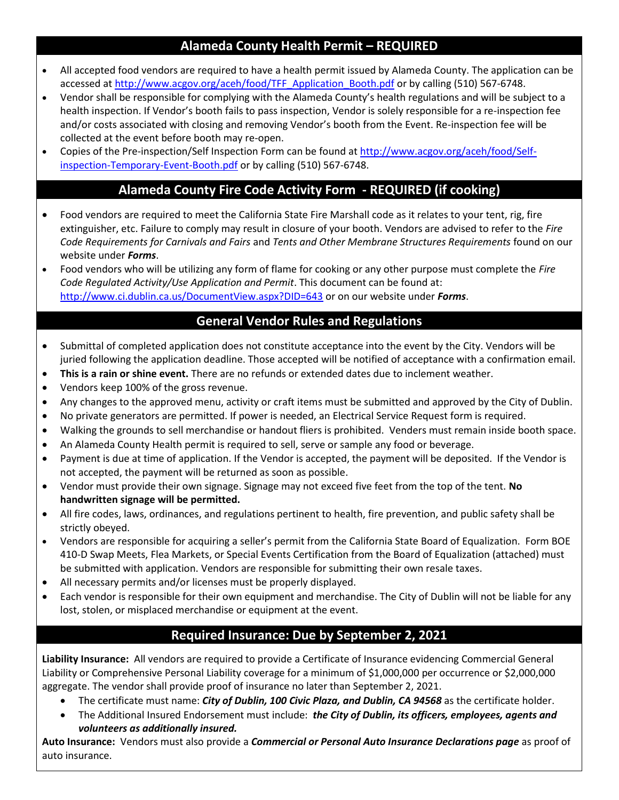# **Alameda County Health Permit – REQUIRED**

- All accepted food vendors are required to have a health permit issued by Alameda County. The application can be accessed a[t http://www.acgov.org/aceh/food/TFF\\_Application\\_Booth.pdf](http://www.acgov.org/aceh/food/TFF_Application_Booth.pdf) or by calling (510) 567-6748.
- Vendor shall be responsible for complying with the Alameda County's health regulations and will be subject to a health inspection. If Vendor's booth fails to pass inspection, Vendor is solely responsible for a re-inspection fee and/or costs associated with closing and removing Vendor's booth from the Event. Re-inspection fee will be collected at the event before booth may re-open.
- Copies of the Pre-inspection/Self Inspection Form can be found at [http://www.acgov.org/aceh/food/Self](http://www.acgov.org/aceh/food/Self-inspection-Temporary-Event-Booth.pdf)[inspection-Temporary-Event-Booth.pdf](http://www.acgov.org/aceh/food/Self-inspection-Temporary-Event-Booth.pdf) or by calling (510) 567-6748.

# **Alameda County Fire Code Activity Form - REQUIRED (if cooking)**

- Food vendors are required to meet the California State Fire Marshall code as it relates to your tent, rig, fire extinguisher, etc. Failure to comply may result in closure of your booth. Vendors are advised to refer to the *Fire Code Requirements for Carnivals and Fairs* and *Tents and Other Membrane Structures Requirements* found on our website under *Forms*.
- Food vendors who will be utilizing any form of flame for cooking or any other purpose must complete the *Fire Code Regulated Activity/Use Application and Permit*. This document can be found at: <http://www.ci.dublin.ca.us/DocumentView.aspx?DID=643> or on our website under *Forms*.

# **General Vendor Rules and Regulations**

- Submittal of completed application does not constitute acceptance into the event by the City. Vendors will be juried following the application deadline. Those accepted will be notified of acceptance with a confirmation email.
- **This is a rain or shine event.** There are no refunds or extended dates due to inclement weather.
- Vendors keep 100% of the gross revenue.
- Any changes to the approved menu, activity or craft items must be submitted and approved by the City of Dublin.
- No private generators are permitted. If power is needed, an Electrical Service Request form is required.
- Walking the grounds to sell merchandise or handout fliers is prohibited. Venders must remain inside booth space.
- An Alameda County Health permit is required to sell, serve or sample any food or beverage.
- Payment is due at time of application. If the Vendor is accepted, the payment will be deposited. If the Vendor is not accepted, the payment will be returned as soon as possible.
- Vendor must provide their own signage. Signage may not exceed five feet from the top of the tent. **No handwritten signage will be permitted.**
- All fire codes, laws, ordinances, and regulations pertinent to health, fire prevention, and public safety shall be strictly obeyed.
- Vendors are responsible for acquiring a seller's permit from the California State Board of Equalization. Form BOE 410-D Swap Meets, Flea Markets, or Special Events Certification from the Board of Equalization (attached) must be submitted with application. Vendors are responsible for submitting their own resale taxes.
- All necessary permits and/or licenses must be properly displayed.
- Each vendor is responsible for their own equipment and merchandise. The City of Dublin will not be liable for any lost, stolen, or misplaced merchandise or equipment at the event.

# **Required Insurance: Due by September 2, 2021**

**Liability Insurance:** All vendors are required to provide a Certificate of Insurance evidencing Commercial General Liability or Comprehensive Personal Liability coverage for a minimum of \$1,000,000 per occurrence or \$2,000,000 aggregate. The vendor shall provide proof of insurance no later than September 2, 2021.

- The certificate must name: *City of Dublin, 100 Civic Plaza, and Dublin, CA 94568* as the certificate holder.
- The Additional Insured Endorsement must include: *the City of Dublin, its officers, employees, agents and volunteers as additionally insured.*

**Auto Insurance:** Vendors must also provide a *Commercial or Personal Auto Insurance Declarations page* as proof of auto insurance.